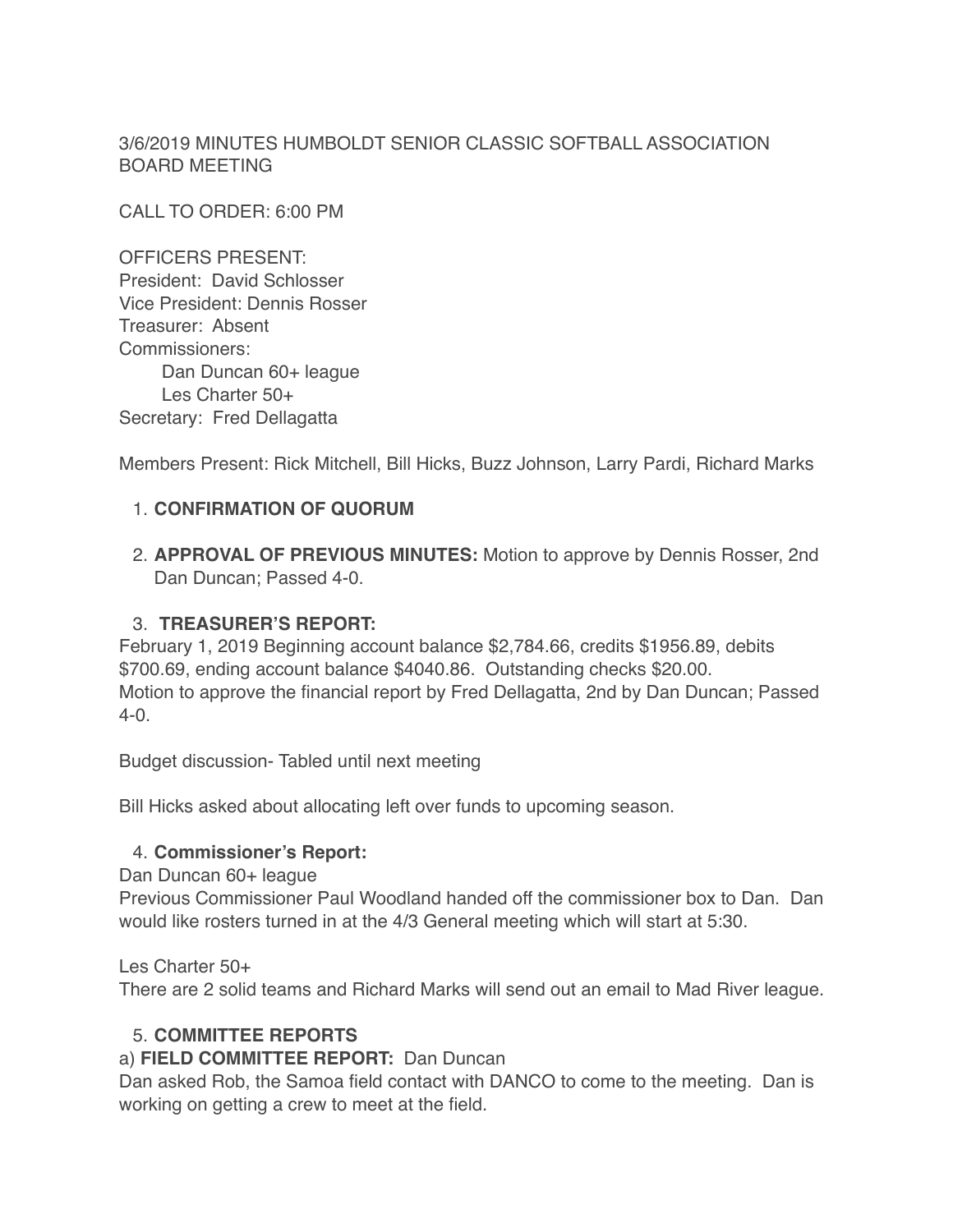3/6/2019 MINUTES HUMBOLDT SENIOR CLASSIC SOFTBALL ASSOCIATION BOARD MEETING

CALL TO ORDER: 6:00 PM

OFFICERS PRESENT: President: David Schlosser Vice President: Dennis Rosser Treasurer: Absent Commissioners: Dan Duncan 60+ league Les Charter 50+ Secretary: Fred Dellagatta

Members Present: Rick Mitchell, Bill Hicks, Buzz Johnson, Larry Pardi, Richard Marks

## 1. **CONFIRMATION OF QUORUM**

2. **APPROVAL OF PREVIOUS MINUTES:** Motion to approve by Dennis Rosser, 2nd Dan Duncan; Passed 4-0.

### 3. **TREASURER'S REPORT:**

February 1, 2019 Beginning account balance \$2,784.66, credits \$1956.89, debits \$700.69, ending account balance \$4040.86. Outstanding checks \$20.00. Motion to approve the financial report by Fred Dellagatta, 2nd by Dan Duncan; Passed 4-0.

Budget discussion- Tabled until next meeting

Bill Hicks asked about allocating left over funds to upcoming season.

#### 4. **Commissioner's Report:**

Dan Duncan 60+ league

Previous Commissioner Paul Woodland handed off the commissioner box to Dan. Dan would like rosters turned in at the 4/3 General meeting which will start at 5:30.

Les Charter 50+

There are 2 solid teams and Richard Marks will send out an email to Mad River league.

# 5. **COMMITTEE REPORTS**

#### a) **FIELD COMMITTEE REPORT:** Dan Duncan

Dan asked Rob, the Samoa field contact with DANCO to come to the meeting. Dan is working on getting a crew to meet at the field.